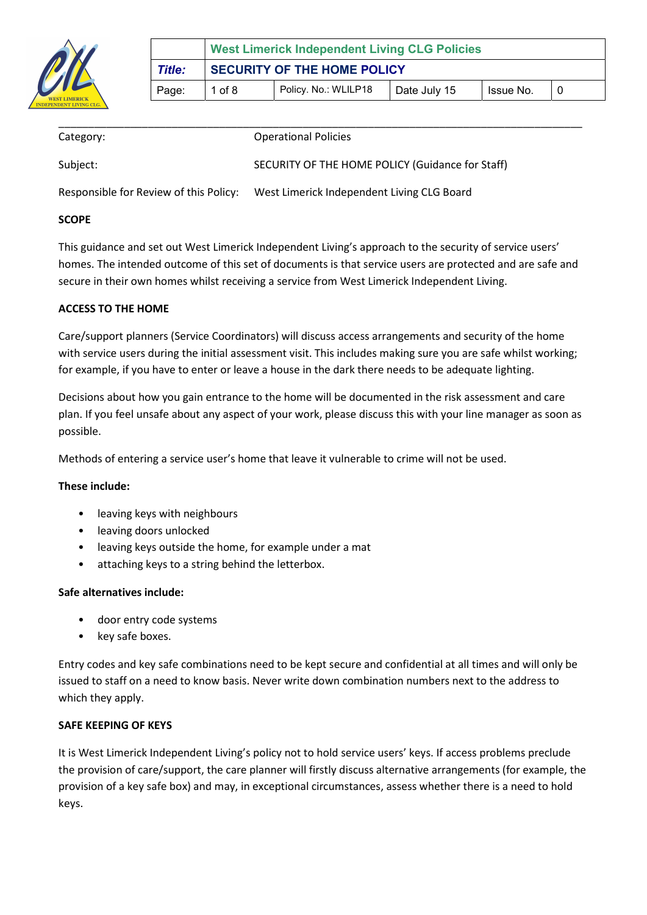

| Category: | <b>Operational Policies</b>                      |
|-----------|--------------------------------------------------|
| Subject:  | SECURITY OF THE HOME POLICY (Guidance for Staff) |

Responsible for Review of this Policy: West Limerick Independent Living CLG Board

## **SCOPE**

This guidance and set out West Limerick Independent Living's approach to the security of service users' homes. The intended outcome of this set of documents is that service users are protected and are safe and secure in their own homes whilst receiving a service from West Limerick Independent Living.

### ACCESS TO THE HOME

Care/support planners (Service Coordinators) will discuss access arrangements and security of the home with service users during the initial assessment visit. This includes making sure you are safe whilst working; for example, if you have to enter or leave a house in the dark there needs to be adequate lighting.

Decisions about how you gain entrance to the home will be documented in the risk assessment and care plan. If you feel unsafe about any aspect of your work, please discuss this with your line manager as soon as possible.

Methods of entering a service user's home that leave it vulnerable to crime will not be used.

#### These include:

- leaving keys with neighbours
- leaving doors unlocked
- leaving keys outside the home, for example under a mat
- attaching keys to a string behind the letterbox.

#### Safe alternatives include:

- door entry code systems
- key safe boxes.

Entry codes and key safe combinations need to be kept secure and confidential at all times and will only be issued to staff on a need to know basis. Never write down combination numbers next to the address to which they apply.

#### SAFE KEEPING OF KEYS

It is West Limerick Independent Living's policy not to hold service users' keys. If access problems preclude the provision of care/support, the care planner will firstly discuss alternative arrangements (for example, the provision of a key safe box) and may, in exceptional circumstances, assess whether there is a need to hold keys.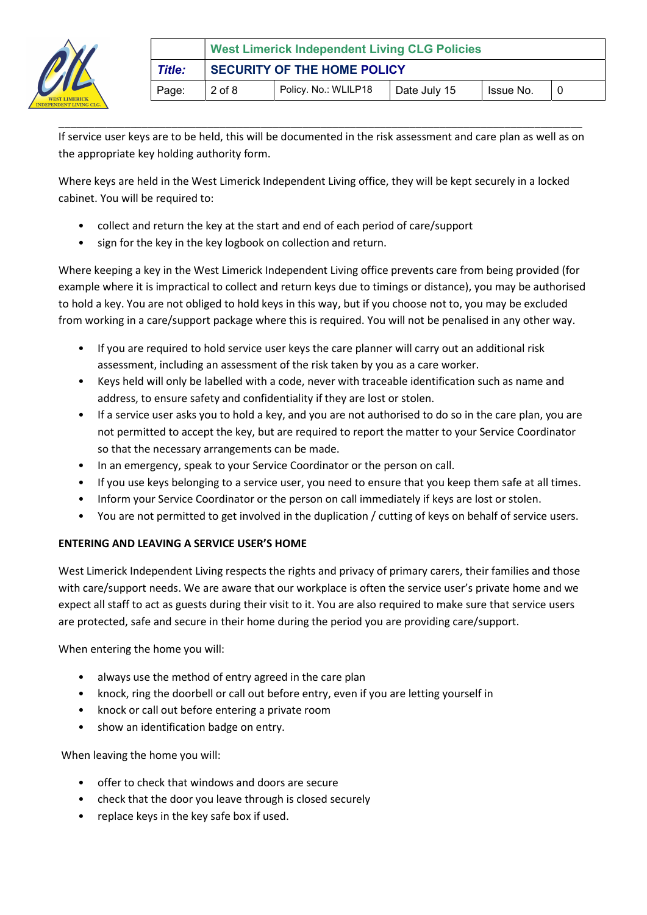

If service user keys are to be held, this will be documented in the risk assessment and care plan as well as on the appropriate key holding authority form.

\_\_\_\_\_\_\_\_\_\_\_\_\_\_\_\_\_\_\_\_\_\_\_\_\_\_\_\_\_\_\_\_\_\_\_\_\_\_\_\_\_\_\_\_\_\_\_\_\_\_\_\_\_\_\_\_\_\_\_\_\_\_\_\_\_\_\_\_\_\_\_\_\_\_\_\_\_\_\_\_\_\_\_\_\_\_\_\_

Where keys are held in the West Limerick Independent Living office, they will be kept securely in a locked cabinet. You will be required to:

- collect and return the key at the start and end of each period of care/support
- sign for the key in the key logbook on collection and return.

Where keeping a key in the West Limerick Independent Living office prevents care from being provided (for example where it is impractical to collect and return keys due to timings or distance), you may be authorised to hold a key. You are not obliged to hold keys in this way, but if you choose not to, you may be excluded from working in a care/support package where this is required. You will not be penalised in any other way.

- If you are required to hold service user keys the care planner will carry out an additional risk assessment, including an assessment of the risk taken by you as a care worker.
- Keys held will only be labelled with a code, never with traceable identification such as name and address, to ensure safety and confidentiality if they are lost or stolen.
- If a service user asks you to hold a key, and you are not authorised to do so in the care plan, you are not permitted to accept the key, but are required to report the matter to your Service Coordinator so that the necessary arrangements can be made.
- In an emergency, speak to your Service Coordinator or the person on call.
- If you use keys belonging to a service user, you need to ensure that you keep them safe at all times.
- Inform your Service Coordinator or the person on call immediately if keys are lost or stolen.
- You are not permitted to get involved in the duplication / cutting of keys on behalf of service users.

# ENTERING AND LEAVING A SERVICE USER'S HOME

West Limerick Independent Living respects the rights and privacy of primary carers, their families and those with care/support needs. We are aware that our workplace is often the service user's private home and we expect all staff to act as guests during their visit to it. You are also required to make sure that service users are protected, safe and secure in their home during the period you are providing care/support.

When entering the home you will:

- always use the method of entry agreed in the care plan
- knock, ring the doorbell or call out before entry, even if you are letting yourself in
- knock or call out before entering a private room
- show an identification badge on entry.

When leaving the home you will:

- offer to check that windows and doors are secure
- check that the door you leave through is closed securely
- replace keys in the key safe box if used.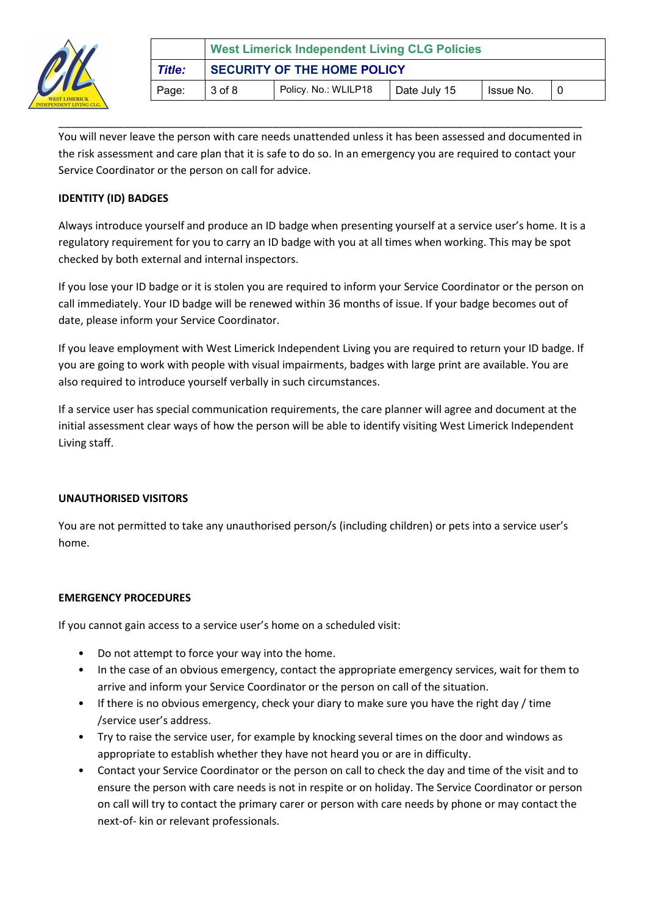

|        | <b>West Limerick Independent Living CLG Policies</b>        |  |  |  |  |
|--------|-------------------------------------------------------------|--|--|--|--|
| Title: | <b>SECURITY OF THE HOME POLICY</b>                          |  |  |  |  |
| Page:  | Policy. No.: WLILP18<br>3 of 8<br>Issue No.<br>Date July 15 |  |  |  |  |

You will never leave the person with care needs unattended unless it has been assessed and documented in the risk assessment and care plan that it is safe to do so. In an emergency you are required to contact your Service Coordinator or the person on call for advice.

\_\_\_\_\_\_\_\_\_\_\_\_\_\_\_\_\_\_\_\_\_\_\_\_\_\_\_\_\_\_\_\_\_\_\_\_\_\_\_\_\_\_\_\_\_\_\_\_\_\_\_\_\_\_\_\_\_\_\_\_\_\_\_\_\_\_\_\_\_\_\_\_\_\_\_\_\_\_\_\_\_\_\_\_\_\_\_\_

## IDENTITY (ID) BADGES

Always introduce yourself and produce an ID badge when presenting yourself at a service user's home. It is a regulatory requirement for you to carry an ID badge with you at all times when working. This may be spot checked by both external and internal inspectors.

If you lose your ID badge or it is stolen you are required to inform your Service Coordinator or the person on call immediately. Your ID badge will be renewed within 36 months of issue. If your badge becomes out of date, please inform your Service Coordinator.

If you leave employment with West Limerick Independent Living you are required to return your ID badge. If you are going to work with people with visual impairments, badges with large print are available. You are also required to introduce yourself verbally in such circumstances.

If a service user has special communication requirements, the care planner will agree and document at the initial assessment clear ways of how the person will be able to identify visiting West Limerick Independent Living staff.

#### UNAUTHORISED VISITORS

You are not permitted to take any unauthorised person/s (including children) or pets into a service user's home.

#### EMERGENCY PROCEDURES

If you cannot gain access to a service user's home on a scheduled visit:

- Do not attempt to force your way into the home.
- In the case of an obvious emergency, contact the appropriate emergency services, wait for them to arrive and inform your Service Coordinator or the person on call of the situation.
- If there is no obvious emergency, check your diary to make sure you have the right day / time /service user's address.
- Try to raise the service user, for example by knocking several times on the door and windows as appropriate to establish whether they have not heard you or are in difficulty.
- Contact your Service Coordinator or the person on call to check the day and time of the visit and to ensure the person with care needs is not in respite or on holiday. The Service Coordinator or person on call will try to contact the primary carer or person with care needs by phone or may contact the next-of- kin or relevant professionals.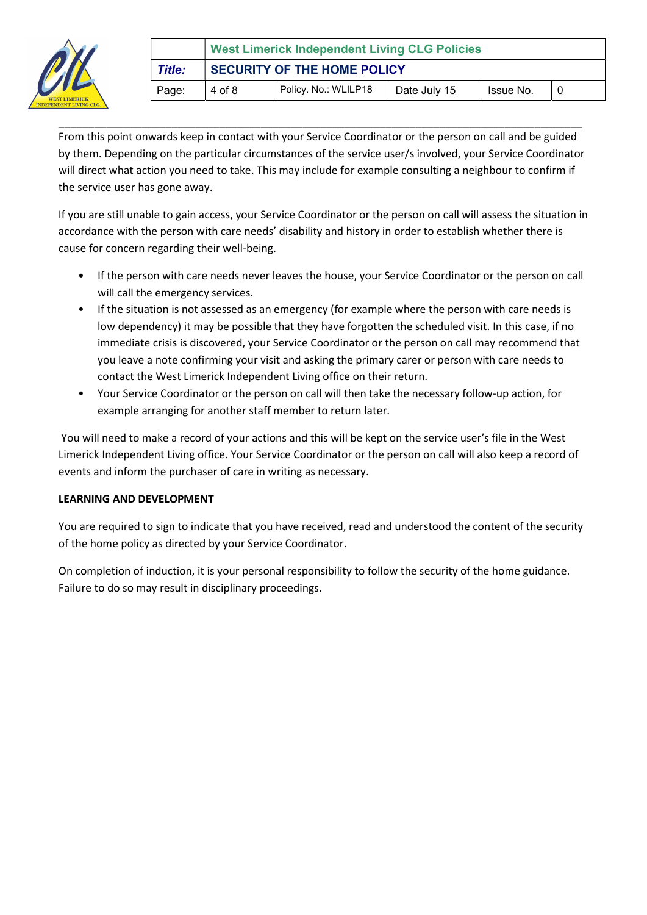

|        | <b>West Limerick Independent Living CLG Policies</b>        |  |  |  |  |
|--------|-------------------------------------------------------------|--|--|--|--|
| Title: | <b>SECURITY OF THE HOME POLICY</b>                          |  |  |  |  |
| Page:  | Policy. No.: WLILP18<br>4 of 8<br>Issue No.<br>Date July 15 |  |  |  |  |

\_\_\_\_\_\_\_\_\_\_\_\_\_\_\_\_\_\_\_\_\_\_\_\_\_\_\_\_\_\_\_\_\_\_\_\_\_\_\_\_\_\_\_\_\_\_\_\_\_\_\_\_\_\_\_\_\_\_\_\_\_\_\_\_\_\_\_\_\_\_\_\_\_\_\_\_\_\_\_\_\_\_\_\_\_\_\_\_ From this point onwards keep in contact with your Service Coordinator or the person on call and be guided by them. Depending on the particular circumstances of the service user/s involved, your Service Coordinator will direct what action you need to take. This may include for example consulting a neighbour to confirm if the service user has gone away.

If you are still unable to gain access, your Service Coordinator or the person on call will assess the situation in accordance with the person with care needs' disability and history in order to establish whether there is cause for concern regarding their well-being.

- If the person with care needs never leaves the house, your Service Coordinator or the person on call will call the emergency services.
- If the situation is not assessed as an emergency (for example where the person with care needs is low dependency) it may be possible that they have forgotten the scheduled visit. In this case, if no immediate crisis is discovered, your Service Coordinator or the person on call may recommend that you leave a note confirming your visit and asking the primary carer or person with care needs to contact the West Limerick Independent Living office on their return.
- Your Service Coordinator or the person on call will then take the necessary follow-up action, for example arranging for another staff member to return later.

 You will need to make a record of your actions and this will be kept on the service user's file in the West Limerick Independent Living office. Your Service Coordinator or the person on call will also keep a record of events and inform the purchaser of care in writing as necessary.

## LEARNING AND DEVELOPMENT

You are required to sign to indicate that you have received, read and understood the content of the security of the home policy as directed by your Service Coordinator.

On completion of induction, it is your personal responsibility to follow the security of the home guidance. Failure to do so may result in disciplinary proceedings.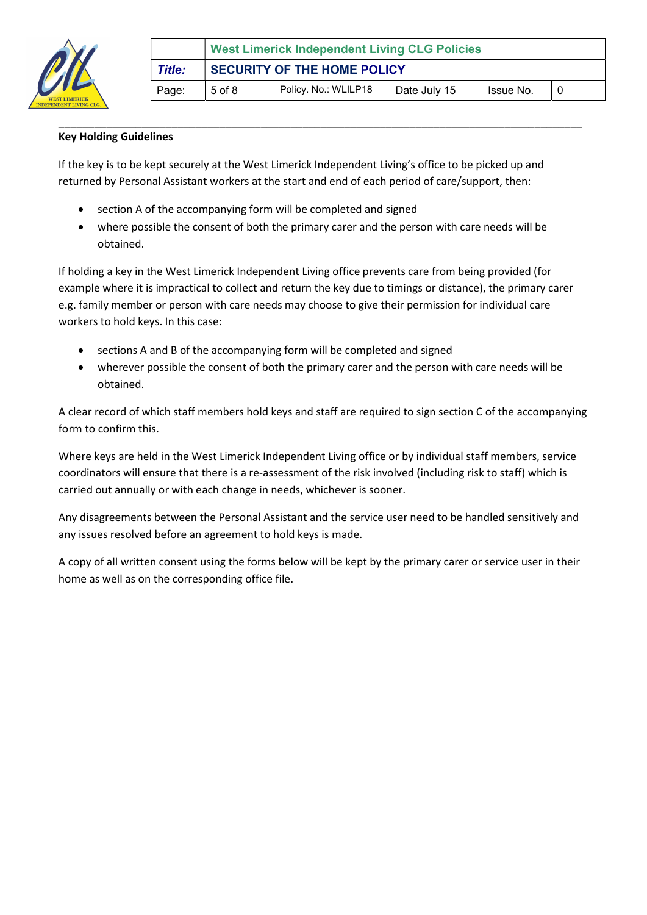

|        | <b>West Limerick Independent Living CLG Policies</b>            |  |  |  |  |
|--------|-----------------------------------------------------------------|--|--|--|--|
| Title: | <b>SECURITY OF THE HOME POLICY</b>                              |  |  |  |  |
| Page:  | Policy. No.: WLILP18<br>$5$ of $8$<br>Issue No.<br>Date July 15 |  |  |  |  |

## Key Holding Guidelines

If the key is to be kept securely at the West Limerick Independent Living's office to be picked up and returned by Personal Assistant workers at the start and end of each period of care/support, then:

\_\_\_\_\_\_\_\_\_\_\_\_\_\_\_\_\_\_\_\_\_\_\_\_\_\_\_\_\_\_\_\_\_\_\_\_\_\_\_\_\_\_\_\_\_\_\_\_\_\_\_\_\_\_\_\_\_\_\_\_\_\_\_\_\_\_\_\_\_\_\_\_\_\_\_\_\_\_\_\_\_\_\_\_\_\_\_\_

- section A of the accompanying form will be completed and signed
- where possible the consent of both the primary carer and the person with care needs will be obtained.

If holding a key in the West Limerick Independent Living office prevents care from being provided (for example where it is impractical to collect and return the key due to timings or distance), the primary carer e.g. family member or person with care needs may choose to give their permission for individual care workers to hold keys. In this case:

- sections A and B of the accompanying form will be completed and signed
- wherever possible the consent of both the primary carer and the person with care needs will be obtained.

A clear record of which staff members hold keys and staff are required to sign section C of the accompanying form to confirm this.

Where keys are held in the West Limerick Independent Living office or by individual staff members, service coordinators will ensure that there is a re-assessment of the risk involved (including risk to staff) which is carried out annually or with each change in needs, whichever is sooner.

Any disagreements between the Personal Assistant and the service user need to be handled sensitively and any issues resolved before an agreement to hold keys is made.

A copy of all written consent using the forms below will be kept by the primary carer or service user in their home as well as on the corresponding office file.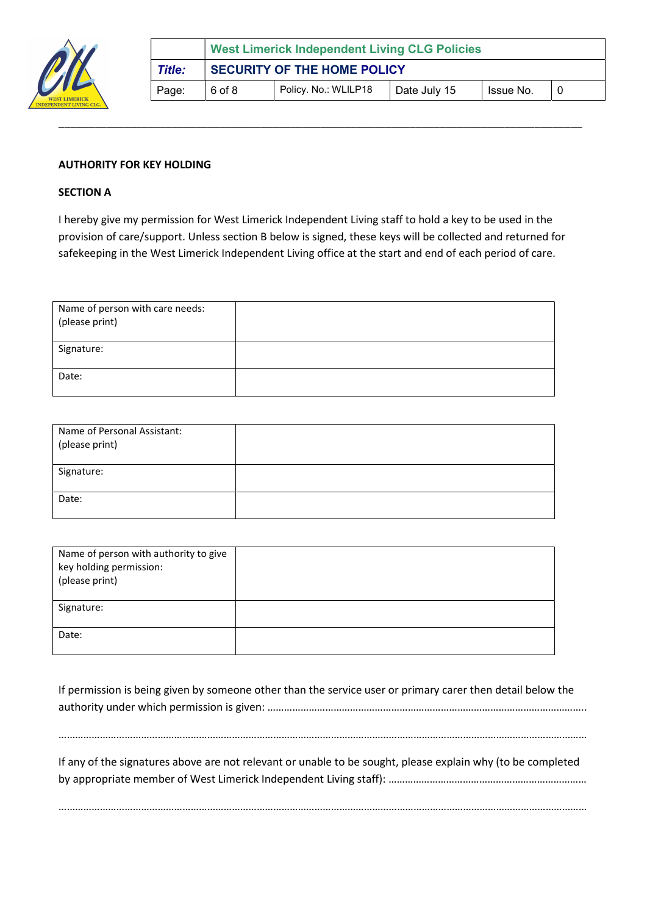

|        | <b>West Limerick Independent Living CLG Policies</b> |                      |              |           |  |
|--------|------------------------------------------------------|----------------------|--------------|-----------|--|
| Title: | <b>SECURITY OF THE HOME POLICY</b>                   |                      |              |           |  |
| Page:  | 6 of 8                                               | Policy. No.: WLILP18 | Date July 15 | Issue No. |  |
|        |                                                      |                      |              |           |  |

### AUTHORITY FOR KEY HOLDING

#### SECTION A

I hereby give my permission for West Limerick Independent Living staff to hold a key to be used in the provision of care/support. Unless section B below is signed, these keys will be collected and returned for safekeeping in the West Limerick Independent Living office at the start and end of each period of care.

\_\_\_\_\_\_\_\_\_\_\_\_\_\_\_\_\_\_\_\_\_\_\_\_\_\_\_\_\_\_\_\_\_\_\_\_\_\_\_\_\_\_\_\_\_\_\_\_\_\_\_\_\_\_\_\_\_\_\_\_\_\_\_\_\_\_\_\_\_\_\_\_\_\_\_\_\_\_\_\_\_\_\_\_\_\_\_\_

| Name of person with care needs:<br>(please print) |  |
|---------------------------------------------------|--|
| Signature:                                        |  |
| Date:                                             |  |

| Name of Personal Assistant:<br>(please print) |  |
|-----------------------------------------------|--|
| Signature:                                    |  |
| Date:                                         |  |

| Name of person with authority to give<br>key holding permission:<br>(please print) |  |
|------------------------------------------------------------------------------------|--|
| Signature:                                                                         |  |
| Date:                                                                              |  |

If permission is being given by someone other than the service user or primary carer then detail below the authority under which permission is given: …………………………………………………………………………………………………….. …………………………………………………………………………………………………………………………………………………………………………

If any of the signatures above are not relevant or unable to be sought, please explain why (to be completed by appropriate member of West Limerick Independent Living staff): ………………………………………………………………………………………

…………………………………………………………………………………………………………………………………………………………………………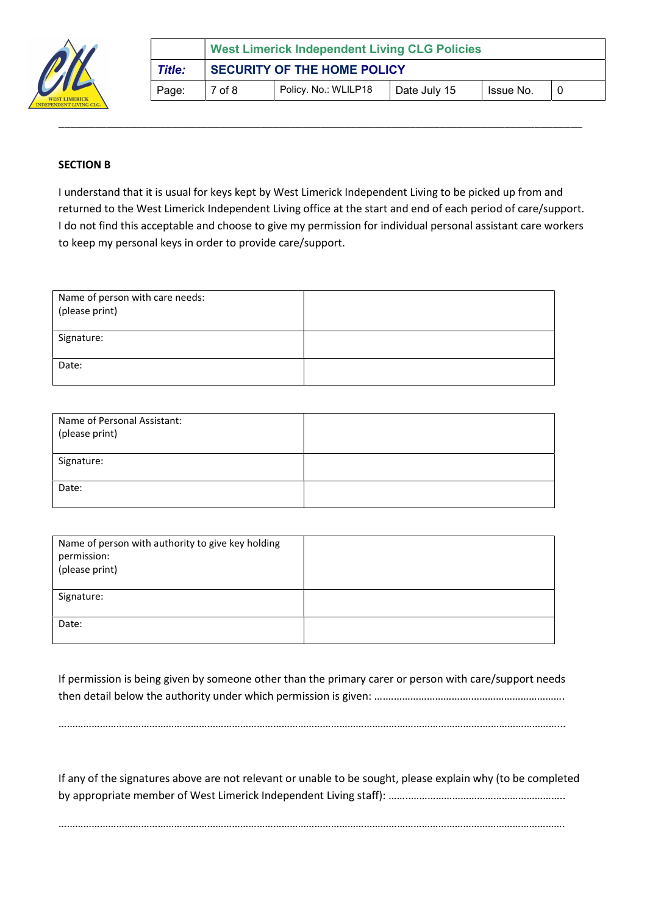

|        | <b>West Limerick Independent Living CLG Policies</b>            |  |  |  |  |
|--------|-----------------------------------------------------------------|--|--|--|--|
| Title: | <b>SECURITY OF THE HOME POLICY</b>                              |  |  |  |  |
| Page:  | Policy. No.: WLILP18<br>$7$ of $8$<br>Date July 15<br>Issue No. |  |  |  |  |

## SECTION B

I understand that it is usual for keys kept by West Limerick Independent Living to be picked up from and returned to the West Limerick Independent Living office at the start and end of each period of care/support. I do not find this acceptable and choose to give my permission for individual personal assistant care workers to keep my personal keys in order to provide care/support.

\_\_\_\_\_\_\_\_\_\_\_\_\_\_\_\_\_\_\_\_\_\_\_\_\_\_\_\_\_\_\_\_\_\_\_\_\_\_\_\_\_\_\_\_\_\_\_\_\_\_\_\_\_\_\_\_\_\_\_\_\_\_\_\_\_\_\_\_\_\_\_\_\_\_\_\_\_\_\_\_\_\_\_\_\_\_\_\_

| Name of person with care needs:<br>(please print) |  |
|---------------------------------------------------|--|
| Signature:                                        |  |
|                                                   |  |
| Date:                                             |  |
|                                                   |  |

| Name of Personal Assistant:<br>(please print) |  |
|-----------------------------------------------|--|
| Signature:                                    |  |
| Date:                                         |  |

| Name of person with authority to give key holding<br>permission:<br>(please print) |  |
|------------------------------------------------------------------------------------|--|
| Signature:                                                                         |  |
| Date:                                                                              |  |

If permission is being given by someone other than the primary carer or person with care/support needs then detail below the authority under which permission is given: …………………………………………………………………………………………

……………………………………………………………………………………………………………………………………….………………………...

If any of the signatures above are not relevant or unable to be sought, please explain why (to be completed by appropriate member of West Limerick Independent Living staff): ……..………………………………………………..

………………………………………………………………………………………………………………………………………………………………….